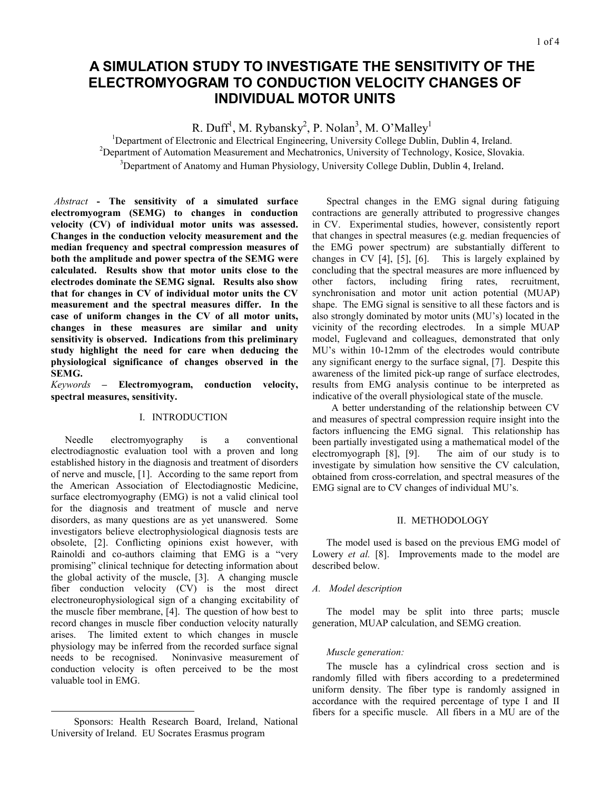# **A SIMULATION STUDY TO INVESTIGATE THE SENSITIVITY OF THE ELECTROMYOGRAM TO CONDUCTION VELOCITY CHANGES OF INDIVIDUAL MOTOR UNITS**

R. Duff<sup>1</sup>, M. Rybansky<sup>2</sup>, P. Nolan<sup>3</sup>, M. O'Malley<sup>1</sup>

<sup>1</sup>Department of Electronic and Electrical Engineering, University College Dublin, Dublin 4, Ireland.  $P^2$ Department of Automation Measurement and Mechatronics, University of Technology, Kosice, Slovakia. <sup>3</sup>Department of Anatomy and Human Physiology, University College Dublin, Dublin 4, Ireland.

*1 Abstract* **- The sensitivity of a simulated surface electromyogram (SEMG) to changes in conduction velocity (CV) of individual motor units was assessed. Changes in the conduction velocity measurement and the median frequency and spectral compression measures of both the amplitude and power spectra of the SEMG were calculated. Results show that motor units close to the electrodes dominate the SEMG signal. Results also show that for changes in CV of individual motor units the CV measurement and the spectral measures differ. In the case of uniform changes in the CV of all motor units, changes in these measures are similar and unity sensitivity is observed. Indications from this preliminary study highlight the need for care when deducing the physiological significance of changes observed in the SEMG.** 

*Keywords* **– Electromyogram, conduction velocity, spectral measures, sensitivity.** 

# I. INTRODUCTION

Needle electromyography is a conventional electrodiagnostic evaluation tool with a proven and long established history in the diagnosis and treatment of disorders of nerve and muscle, [[1\]](#page-4-0). According to the same report from the American Association of Electodiagnostic Medicine, surface electromyography (EMG) is not a valid clinical tool for the diagnosis and treatment of muscle and nerve disorders, as many questions are as yet unanswered. Some investigators believe electrophysiological diagnosis tests are obsolete, [[2\]](#page-4-0). Conflicting opinions exist however, with Rainoldi and co-authors claiming that EMG is a "very promising" clinical technique for detecting information about the global activity of the muscle, [[3\]](#page-4-0). A changing muscle fiber conduction velocity (CV) is the most direct electroneurophysiological sign of a changing excitability of the muscle fiber membrane, [[4\]](#page-4-0). The question of how best to record changes in muscle fiber conduction velocity naturally arises. The limited extent to which changes in muscle physiology may be inferred from the recorded surface signal needs to be recognised. Noninvasive measurement of conduction velocity is often perceived to be the most valuable tool in EMG.

Spectral changes in the EMG signal during fatiguing contractions are generally attributed to progressive changes in CV. Experimental studies, however, consistently report that changes in spectral measures (e.g. median frequencies of the EMG power spectrum) are substantially different to changes in CV [4], [\[5\]](#page-4-0), [\[6\]](#page-4-0). This is largely explained by concluding that the spectral measures are more influenced by other factors, including firing rates, recruitment, synchronisation and motor unit action potential (MUAP) shape. The EMG signal is sensitive to all these factors and is also strongly dominated by motor units (MU's) located in the vicinity of the recording electrodes. In a simple MUAP model, Fuglevand and colleagues, demonstrated that only MU's within 10-12mm of the electrodes would contribute any significant energy to the surface signal, [\[7\]](#page-4-0). Despite this awareness of the limited pick-up range of surface electrodes, results from EMG analysis continue to be interpreted as indicative of the overall physiological state of the muscle.

 A better understanding of the relationship between CV and measures of spectral compression require insight into the factors influencing the EMG signal. This relationship has been partially investigated using a mathematical model of the electromyograph [[8\]](#page-4-0), [\[9\]](#page-4-0). The aim of our study is to investigate by simulation how sensitive the CV calculation, obtained from cross-correlation, and spectral measures of the EMG signal are to CV changes of individual MU's.

# II. METHODOLOGY

The model used is based on the previous EMG model of Lowery *et al.* [8]. Improvements made to the model are described below.

## *A. Model description*

The model may be split into three parts; muscle generation, MUAP calculation, and SEMG creation.

## *Muscle generation:*

The muscle has a cylindrical cross section and is randomly filled with fibers according to a predetermined uniform density. The fiber type is randomly assigned in accordance with the required percentage of type I and II fibers for a specific muscle. All fibers in a MU are of the

 <sup>1</sup> Sponsors: Health Research Board, Ireland, National University of Ireland. EU Socrates Erasmus program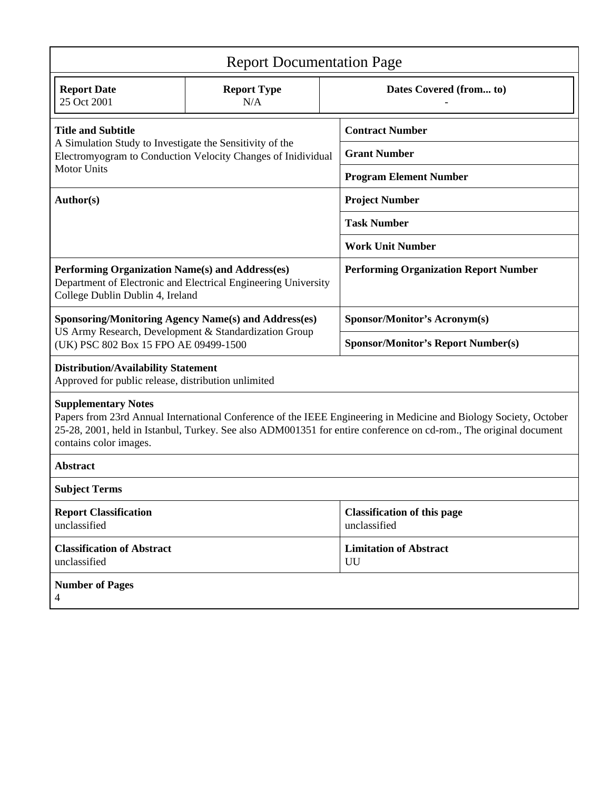| <b>Report Documentation Page</b>                                                                                                                                                                                                                                                               |                           |                                                    |                                              |  |  |  |
|------------------------------------------------------------------------------------------------------------------------------------------------------------------------------------------------------------------------------------------------------------------------------------------------|---------------------------|----------------------------------------------------|----------------------------------------------|--|--|--|
| <b>Report Date</b><br>25 Oct 2001                                                                                                                                                                                                                                                              | <b>Report Type</b><br>N/A |                                                    | Dates Covered (from to)                      |  |  |  |
| <b>Title and Subtitle</b><br>A Simulation Study to Investigate the Sensitivity of the<br>Electromyogram to Conduction Velocity Changes of Inidividual<br><b>Motor Units</b>                                                                                                                    |                           |                                                    | <b>Contract Number</b>                       |  |  |  |
|                                                                                                                                                                                                                                                                                                |                           |                                                    | <b>Grant Number</b>                          |  |  |  |
|                                                                                                                                                                                                                                                                                                |                           |                                                    | <b>Program Element Number</b>                |  |  |  |
| Author(s)                                                                                                                                                                                                                                                                                      |                           |                                                    | <b>Project Number</b>                        |  |  |  |
|                                                                                                                                                                                                                                                                                                |                           | <b>Task Number</b>                                 |                                              |  |  |  |
|                                                                                                                                                                                                                                                                                                |                           |                                                    | <b>Work Unit Number</b>                      |  |  |  |
| Performing Organization Name(s) and Address(es)<br>Department of Electronic and Electrical Engineering University<br>College Dublin Dublin 4, Ireland                                                                                                                                          |                           |                                                    | <b>Performing Organization Report Number</b> |  |  |  |
| <b>Sponsoring/Monitoring Agency Name(s) and Address(es)</b><br>US Army Research, Development & Standardization Group<br>(UK) PSC 802 Box 15 FPO AE 09499-1500                                                                                                                                  |                           |                                                    | <b>Sponsor/Monitor's Acronym(s)</b>          |  |  |  |
|                                                                                                                                                                                                                                                                                                |                           |                                                    | <b>Sponsor/Monitor's Report Number(s)</b>    |  |  |  |
| <b>Distribution/Availability Statement</b><br>Approved for public release, distribution unlimited                                                                                                                                                                                              |                           |                                                    |                                              |  |  |  |
| <b>Supplementary Notes</b><br>Papers from 23rd Annual International Conference of the IEEE Engineering in Medicine and Biology Society, October<br>25-28, 2001, held in Istanbul, Turkey. See also ADM001351 for entire conference on cd-rom., The original document<br>contains color images. |                           |                                                    |                                              |  |  |  |
| <b>Abstract</b>                                                                                                                                                                                                                                                                                |                           |                                                    |                                              |  |  |  |
| <b>Subject Terms</b>                                                                                                                                                                                                                                                                           |                           |                                                    |                                              |  |  |  |
| <b>Report Classification</b><br>unclassified                                                                                                                                                                                                                                                   |                           | <b>Classification of this page</b><br>unclassified |                                              |  |  |  |
| <b>Classification of Abstract</b><br>unclassified                                                                                                                                                                                                                                              |                           |                                                    | <b>Limitation of Abstract</b><br>UU          |  |  |  |
| <b>Number of Pages</b><br>4                                                                                                                                                                                                                                                                    |                           |                                                    |                                              |  |  |  |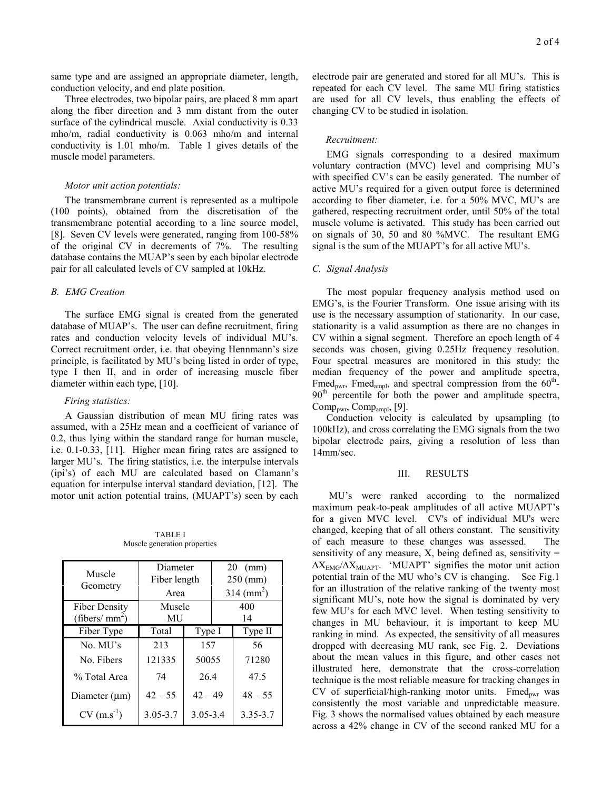same type and are assigned an appropriate diameter, length, conduction velocity, and end plate position.

Three electrodes, two bipolar pairs, are placed 8 mm apart along the fiber direction and 3 mm distant from the outer surface of the cylindrical muscle. Axial conductivity is 0.33 mho/m, radial conductivity is 0.063 mho/m and internal conductivity is 1.01 mho/m. Table 1 gives details of the muscle model parameters.

## *Motor unit action potentials:*

The transmembrane current is represented as a multipole (100 points), obtained from the discretisation of the transmembrane potential according to a line source model, [8]. Seven CV levels were generated, ranging from 100-58% of the original CV in decrements of 7%. The resulting database contains the MUAP's seen by each bipolar electrode pair for all calculated levels of CV sampled at 10kHz.

#### *B. EMG Creation*

The surface EMG signal is created from the generated database of MUAP's. The user can define recruitment, firing rates and conduction velocity levels of individual MU's. Correct recruitment order, i.e. that obeying Hennmann's size principle, is facilitated by MU's being listed in order of type, type I then II, and in order of increasing muscle fiber diameter within each type, [[10\]](#page-4-0).

#### *Firing statistics:*

A Gaussian distribution of mean MU firing rates was assumed, with a 25Hz mean and a coefficient of variance of 0.2, thus lying within the standard range for human muscle, i.e. 0.1-0.33, [[11\]](#page-4-0). Higher mean firing rates are assigned to larger MU's. The firing statistics, i.e. the interpulse intervals (ipi's) of each MU are calculated based on Clamann's equation for interpulse interval standard deviation, [[12\]](#page-4-0). The motor unit action potential trains, (MUAPT's) seen by each

TABLE I Muscle generation properties

| Muscle               | Diameter     |              | $20 \text{ (mm)}$      |              |
|----------------------|--------------|--------------|------------------------|--------------|
| Geometry             | Fiber length |              | $250$ (mm)             |              |
|                      | Area         |              | $314 \, \text{(mm}^2)$ |              |
| <b>Fiber Density</b> | Muscle       |              | 400                    |              |
| (fibers/ $mm2$ )     | MU           |              | 14                     |              |
| Fiber Type           | Total        | Type I       |                        | Type II      |
| No. MU's             | 213          | 157          |                        | 56           |
| No. Fibers           | 121335       | 50055        |                        | 71280        |
| % Total Area         | 74           | 264          |                        | 47.5         |
| Diameter $(\mu m)$   | $42 - 55$    | $42 - 49$    |                        | $48 - 55$    |
| $CV(m.s^{-1})$       | $3.05 - 3.7$ | $3.05 - 3.4$ |                        | $3.35 - 3.7$ |

electrode pair are generated and stored for all MU's. This is repeated for each CV level. The same MU firing statistics are used for all CV levels, thus enabling the effects of changing CV to be studied in isolation.

#### *Recruitment:*

EMG signals corresponding to a desired maximum voluntary contraction (MVC) level and comprising MU's with specified CV's can be easily generated. The number of active MU's required for a given output force is determined according to fiber diameter, i.e. for a 50% MVC, MU's are gathered, respecting recruitment order, until 50% of the total muscle volume is activated. This study has been carried out on signals of 30, 50 and 80 %MVC. The resultant EMG signal is the sum of the MUAPT's for all active MU's.

# *C. Signal Analysis*

The most popular frequency analysis method used on EMG's, is the Fourier Transform. One issue arising with its use is the necessary assumption of stationarity. In our case, stationarity is a valid assumption as there are no changes in CV within a signal segment. Therefore an epoch length of 4 seconds was chosen, giving 0.25Hz frequency resolution. Four spectral measures are monitored in this study: the median frequency of the power and amplitude spectra, Fmed<sub>pwr</sub>, Fmed<sub>ampl</sub>, and spectral compression from the  $60<sup>th</sup>$ - $90<sup>th</sup>$  percentile for both the power and amplitude spectra,  $Comp<sub>own</sub>, Comp<sub>ampl</sub>, [9]$ .

Conduction velocity is calculated by upsampling (to 100kHz), and cross correlating the EMG signals from the two bipolar electrode pairs, giving a resolution of less than 14mm/sec.

#### III. RESULTS

 MU's were ranked according to the normalized maximum peak-to-peak amplitudes of all active MUAPT's for a given MVC level. CV's of individual MU's were changed, keeping that of all others constant. The sensitivity of each measure to these changes was assessed. The sensitivity of any measure,  $X$ , being defined as, sensitivity =  $\Delta X_{\text{EMG}}/\Delta X_{\text{MUAPT}}$ . 'MUAPT' signifies the motor unit action potential train of the MU who's CV is changing. See Fig.1 for an illustration of the relative ranking of the twenty most significant MU's, note how the signal is dominated by very few MU's for each MVC level. When testing sensitivity to changes in MU behaviour, it is important to keep MU ranking in mind. As expected, the sensitivity of all measures dropped with decreasing MU rank, see Fig. 2. Deviations about the mean values in this figure, and other cases not illustrated here, demonstrate that the cross-correlation technique is the most reliable measure for tracking changes in CV of superficial/high-ranking motor units. Fmed<sub>pwr</sub> was consistently the most variable and unpredictable measure. Fig. 3 shows the normalised values obtained by each measure across a 42% change in CV of the second ranked MU for a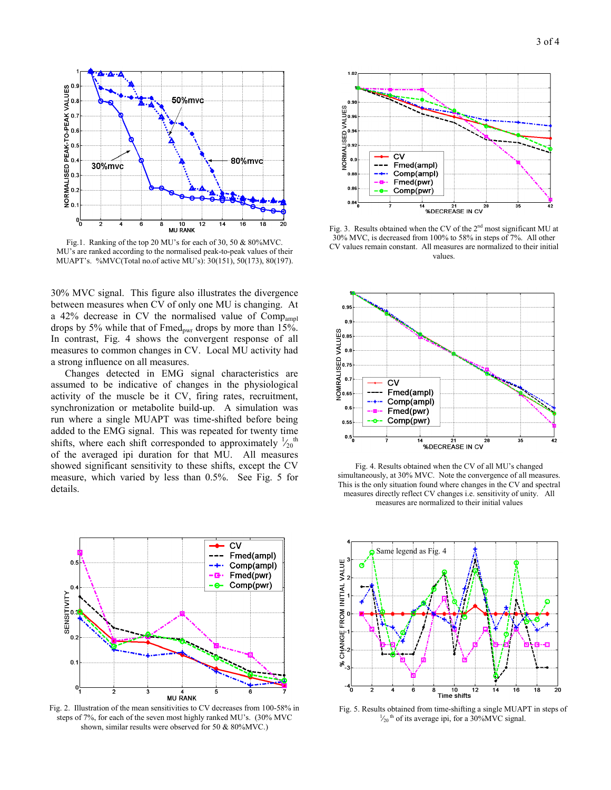

Fig.1. Ranking of the top 20 MU's for each of 30, 50 & 80%MVC. MU's are ranked according to the normalised peak-to-peak values of their MUAPT's. %MVC(Total no.of active MU's): 30(151), 50(173), 80(197).

30% MVC signal. This figure also illustrates the divergence between measures when CV of only one MU is changing. At a 42% decrease in CV the normalised value of Compampl drops by 5% while that of  $Fmed_{\text{pwr}}$  drops by more than 15%. In contrast, Fig. 4 shows the convergent response of all measures to common changes in CV. Local MU activity had a strong influence on all measures.

Changes detected in EMG signal characteristics are assumed to be indicative of changes in the physiological activity of the muscle be it CV, firing rates, recruitment, synchronization or metabolite build-up. A simulation was run where a single MUAPT was time-shifted before being added to the EMG signal. This was repeated for twenty time shifts, where each shift corresponded to approximately  $\frac{1}{20}$ <sup>th</sup> of the averaged ipi duration for that MU. All measures showed significant sensitivity to these shifts, except the CV measure, which varied by less than 0.5%. See Fig. 5 for details.



Fig. 2. Illustration of the mean sensitivities to CV decreases from 100-58% in steps of 7%, for each of the seven most highly ranked MU's. (30% MVC shown, similar results were observed for 50 & 80%MVC.)



Fig. 3. Results obtained when the CV of the  $2^{nd}$  most significant MU at 30% MVC, is decreased from 100% to 58% in steps of 7%. All other CV values remain constant. All measures are normalized to their initial values.



Fig. 4. Results obtained when the CV of all MU's changed simultaneously, at 30% MVC. Note the convergence of all measures. This is the only situation found where changes in the CV and spectral measures directly reflect CV changes i.e. sensitivity of unity. All measures are normalized to their initial values



Fig. 5. Results obtained from time-shifting a single MUAPT in steps of 1  $\frac{1}{20}$ <sup>th</sup> of its average ipi, for a 30%MVC signal.